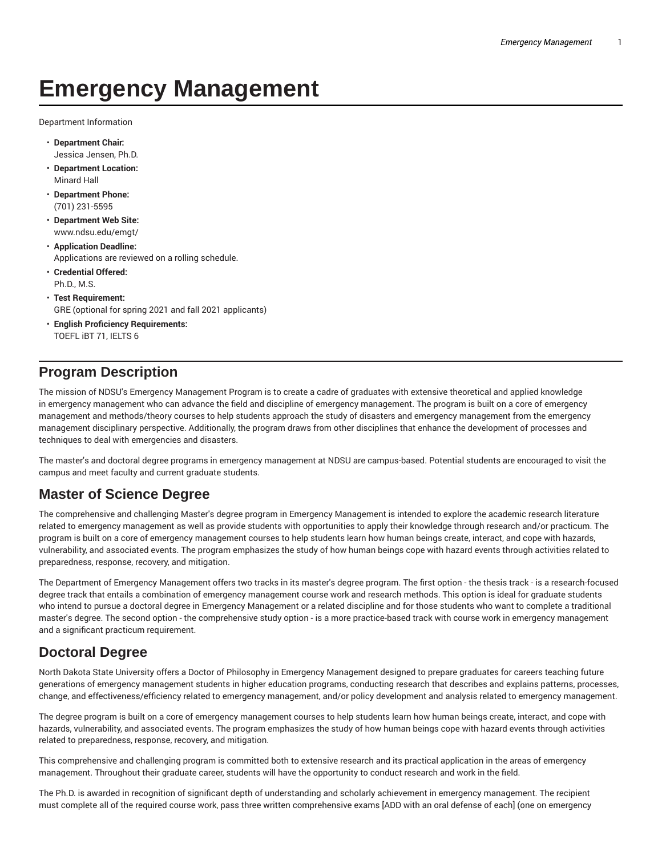# **Emergency Management**

Department Information

- **Department Chair:** Jessica Jensen, Ph.D.
- **Department Location:** Minard Hall
- **Department Phone:** (701) 231-5595
- **Department Web Site:** www.ndsu.edu/emgt/
- **Application Deadline:** Applications are reviewed on a rolling schedule.
- **Credential Offered:** Ph.D., M.S.
- **Test Requirement:** GRE (optional for spring 2021 and fall 2021 applicants)
- **English Proficiency Requirements:** TOEFL iBT 71, IELTS 6

### **Program Description**

The mission of NDSU's Emergency Management Program is to create a cadre of graduates with extensive theoretical and applied knowledge in emergency management who can advance the field and discipline of emergency management. The program is built on a core of emergency management and methods/theory courses to help students approach the study of disasters and emergency management from the emergency management disciplinary perspective. Additionally, the program draws from other disciplines that enhance the development of processes and techniques to deal with emergencies and disasters.

The master's and doctoral degree programs in emergency management at NDSU are campus-based. Potential students are encouraged to visit the campus and meet faculty and current graduate students.

### **Master of Science Degree**

The comprehensive and challenging Master's degree program in Emergency Management is intended to explore the academic research literature related to emergency management as well as provide students with opportunities to apply their knowledge through research and/or practicum. The program is built on a core of emergency management courses to help students learn how human beings create, interact, and cope with hazards, vulnerability, and associated events. The program emphasizes the study of how human beings cope with hazard events through activities related to preparedness, response, recovery, and mitigation.

The Department of Emergency Management offers two tracks in its master's degree program. The first option - the thesis track - is a research-focused degree track that entails a combination of emergency management course work and research methods. This option is ideal for graduate students who intend to pursue a doctoral degree in Emergency Management or a related discipline and for those students who want to complete a traditional master's degree. The second option - the comprehensive study option - is a more practice-based track with course work in emergency management and a significant practicum requirement.

### **Doctoral Degree**

North Dakota State University offers a Doctor of Philosophy in Emergency Management designed to prepare graduates for careers teaching future generations of emergency management students in higher education programs, conducting research that describes and explains patterns, processes, change, and effectiveness/efficiency related to emergency management, and/or policy development and analysis related to emergency management.

The degree program is built on a core of emergency management courses to help students learn how human beings create, interact, and cope with hazards, vulnerability, and associated events. The program emphasizes the study of how human beings cope with hazard events through activities related to preparedness, response, recovery, and mitigation.

This comprehensive and challenging program is committed both to extensive research and its practical application in the areas of emergency management. Throughout their graduate career, students will have the opportunity to conduct research and work in the field.

The Ph.D. is awarded in recognition of significant depth of understanding and scholarly achievement in emergency management. The recipient must complete all of the required course work, pass three written comprehensive exams [ADD with an oral defense of each] (one on emergency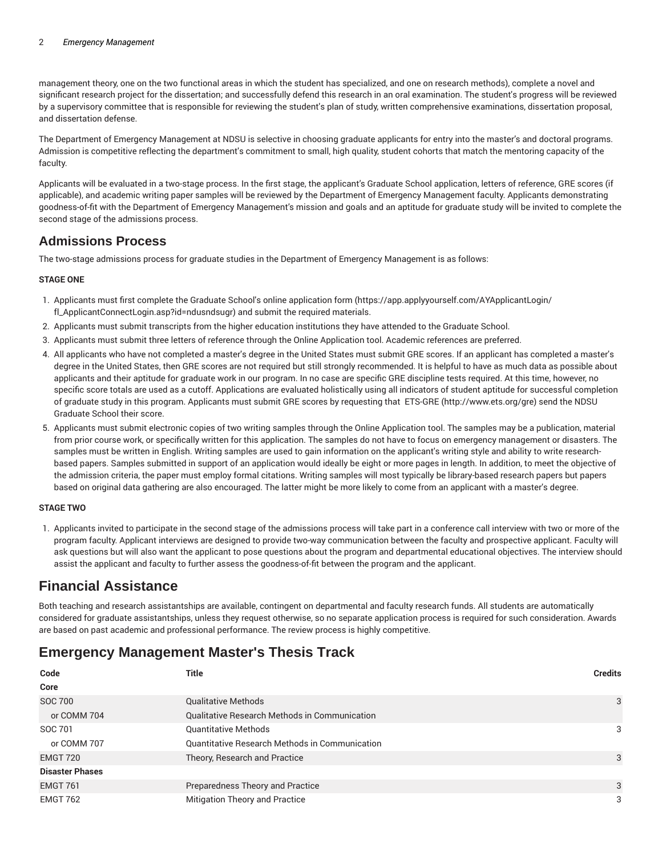management theory, one on the two functional areas in which the student has specialized, and one on research methods), complete a novel and significant research project for the dissertation; and successfully defend this research in an oral examination. The student's progress will be reviewed by a supervisory committee that is responsible for reviewing the student's plan of study, written comprehensive examinations, dissertation proposal, and dissertation defense.

The Department of Emergency Management at NDSU is selective in choosing graduate applicants for entry into the master's and doctoral programs. Admission is competitive reflecting the department's commitment to small, high quality, student cohorts that match the mentoring capacity of the faculty.

Applicants will be evaluated in a two-stage process. In the first stage, the applicant's Graduate School application, letters of reference, GRE scores (if applicable), and academic writing paper samples will be reviewed by the Department of Emergency Management faculty. Applicants demonstrating goodness-of-fit with the Department of Emergency Management's mission and goals and an aptitude for graduate study will be invited to complete the second stage of the admissions process.

### **Admissions Process**

The two-stage admissions process for graduate studies in the Department of Emergency Management is as follows:

#### **STAGE ONE**

- 1. Applicants must first complete the Graduate School's online application form (https://app.applyyourself.com/AYApplicantLogin/ fl\_ApplicantConnectLogin.asp?id=ndusndsugr) and submit the required materials.
- 2. Applicants must submit transcripts from the higher education institutions they have attended to the Graduate School.
- 3. Applicants must submit three letters of reference through the Online Application tool. Academic references are preferred.
- 4. All applicants who have not completed a master's degree in the United States must submit GRE scores. If an applicant has completed a master's degree in the United States, then GRE scores are not required but still strongly recommended. It is helpful to have as much data as possible about applicants and their aptitude for graduate work in our program. In no case are specific GRE discipline tests required. At this time, however, no specific score totals are used as a cutoff. Applications are evaluated holistically using all indicators of student aptitude for successful completion of graduate study in this program. Applicants must submit GRE scores by requesting that ETS-GRE (http://www.ets.org/gre) send the NDSU Graduate School their score.
- 5. Applicants must submit electronic copies of two writing samples through the Online Application tool. The samples may be a publication, material from prior course work, or specifically written for this application. The samples do not have to focus on emergency management or disasters. The samples must be written in English. Writing samples are used to gain information on the applicant's writing style and ability to write researchbased papers. Samples submitted in support of an application would ideally be eight or more pages in length. In addition, to meet the objective of the admission criteria, the paper must employ formal citations. Writing samples will most typically be library-based research papers but papers based on original data gathering are also encouraged. The latter might be more likely to come from an applicant with a master's degree.

#### **STAGE TWO**

1. Applicants invited to participate in the second stage of the admissions process will take part in a conference call interview with two or more of the program faculty. Applicant interviews are designed to provide two-way communication between the faculty and prospective applicant. Faculty will ask questions but will also want the applicant to pose questions about the program and departmental educational objectives. The interview should assist the applicant and faculty to further assess the goodness-of-fit between the program and the applicant.

### **Financial Assistance**

Both teaching and research assistantships are available, contingent on departmental and faculty research funds. All students are automatically considered for graduate assistantships, unless they request otherwise, so no separate application process is required for such consideration. Awards are based on past academic and professional performance. The review process is highly competitive.

### **Emergency Management Master's Thesis Track**

| Code                   | Title                                                | <b>Credits</b> |
|------------------------|------------------------------------------------------|----------------|
| Core                   |                                                      |                |
| <b>SOC 700</b>         | <b>Qualitative Methods</b>                           | 3              |
| or COMM 704            | <b>Qualitative Research Methods in Communication</b> |                |
| SOC 701                | <b>Quantitative Methods</b>                          | 3              |
| or COMM 707            | Quantitative Research Methods in Communication       |                |
| EMGT 720               | Theory, Research and Practice                        | 3              |
| <b>Disaster Phases</b> |                                                      |                |
| <b>EMGT 761</b>        | Preparedness Theory and Practice                     | 3              |
| <b>EMGT 762</b>        | Mitigation Theory and Practice                       | 3              |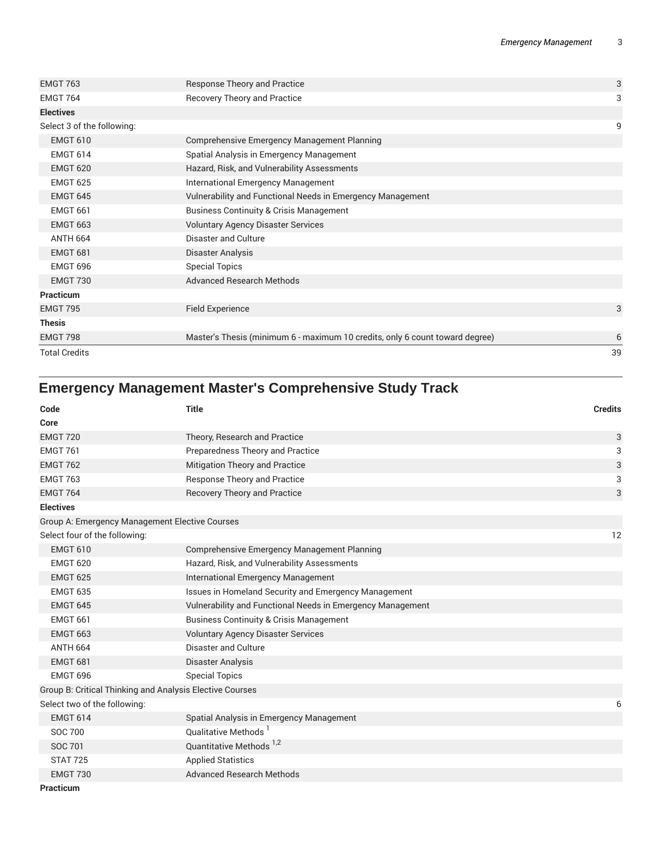|                                                                              | 39 |
|------------------------------------------------------------------------------|----|
| Master's Thesis (minimum 6 - maximum 10 credits, only 6 count toward degree) | 6  |
|                                                                              |    |
| <b>Field Experience</b>                                                      | 3  |
|                                                                              |    |
| <b>Advanced Research Methods</b>                                             |    |
| <b>Special Topics</b>                                                        |    |
| Disaster Analysis                                                            |    |
| Disaster and Culture                                                         |    |
| <b>Voluntary Agency Disaster Services</b>                                    |    |
| <b>Business Continuity &amp; Crisis Management</b>                           |    |
| Vulnerability and Functional Needs in Emergency Management                   |    |
| International Emergency Management                                           |    |
| Hazard, Risk, and Vulnerability Assessments                                  |    |
| Spatial Analysis in Emergency Management                                     |    |
| <b>Comprehensive Emergency Management Planning</b>                           |    |
|                                                                              | 9  |
|                                                                              |    |
| <b>Recovery Theory and Practice</b>                                          | 3  |
| <b>Response Theory and Practice</b>                                          | 3  |
|                                                                              |    |

## **Emergency Management Master's Comprehensive Study Track**

| Code<br>Core                                             | <b>Title</b>                                               | <b>Credits</b> |
|----------------------------------------------------------|------------------------------------------------------------|----------------|
| <b>EMGT 720</b>                                          | Theory, Research and Practice                              | 3              |
| <b>EMGT 761</b>                                          | Preparedness Theory and Practice                           | 3              |
| <b>EMGT 762</b>                                          | Mitigation Theory and Practice                             | 3              |
| <b>EMGT 763</b>                                          | Response Theory and Practice                               | 3              |
| <b>EMGT 764</b>                                          | <b>Recovery Theory and Practice</b>                        | 3              |
| <b>Electives</b>                                         |                                                            |                |
| Group A: Emergency Management Elective Courses           |                                                            |                |
| Select four of the following:                            |                                                            | 12             |
| <b>EMGT 610</b>                                          | Comprehensive Emergency Management Planning                |                |
| <b>EMGT 620</b>                                          | Hazard, Risk, and Vulnerability Assessments                |                |
| <b>EMGT 625</b>                                          | International Emergency Management                         |                |
| <b>EMGT 635</b>                                          | Issues in Homeland Security and Emergency Management       |                |
| <b>EMGT 645</b>                                          | Vulnerability and Functional Needs in Emergency Management |                |
| <b>EMGT 661</b>                                          | <b>Business Continuity &amp; Crisis Management</b>         |                |
| <b>EMGT 663</b>                                          | <b>Voluntary Agency Disaster Services</b>                  |                |
| <b>ANTH 664</b>                                          | Disaster and Culture                                       |                |
| <b>EMGT 681</b>                                          | Disaster Analysis                                          |                |
| <b>EMGT 696</b>                                          | <b>Special Topics</b>                                      |                |
| Group B: Critical Thinking and Analysis Elective Courses |                                                            |                |
| Select two of the following:                             |                                                            | 6              |
| <b>EMGT 614</b>                                          | Spatial Analysis in Emergency Management                   |                |
| <b>SOC 700</b>                                           | Qualitative Methods <sup>1</sup>                           |                |
| SOC 701                                                  | Quantitative Methods <sup>1,2</sup>                        |                |
| <b>STAT 725</b>                                          | <b>Applied Statistics</b>                                  |                |
| <b>EMGT 730</b>                                          | <b>Advanced Research Methods</b>                           |                |
| Practicum                                                |                                                            |                |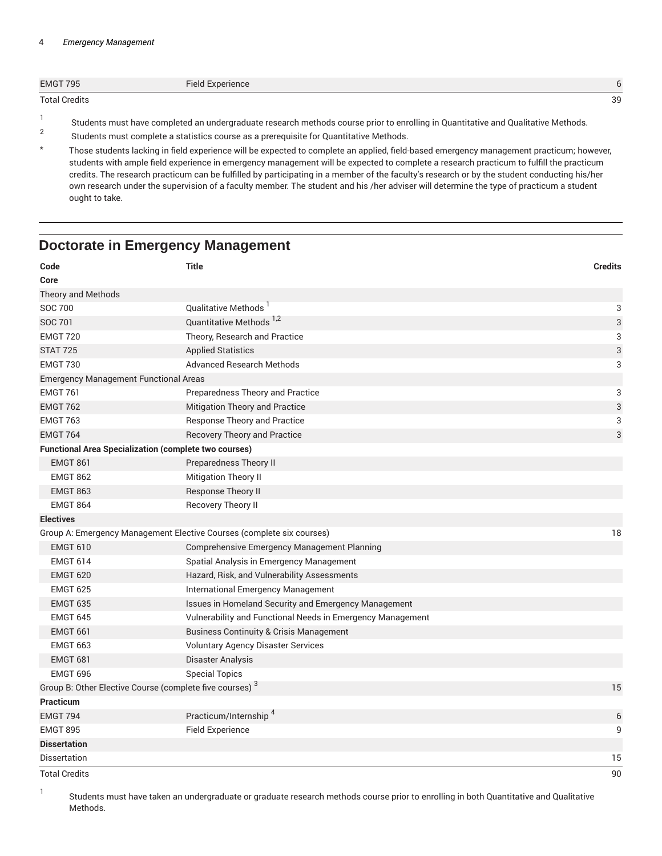#### 4 *Emergency Management*

| <b>EMGT 795</b>      | Field Experience |    |
|----------------------|------------------|----|
| <b>Total Credits</b> |                  | 39 |
|                      |                  |    |

- Students must have completed an undergraduate research methods course prior to enrolling in Quantitative and Qualitative Methods.
- 2 Students must complete a statistics course as a prerequisite for Quantitative Methods.
- \* Those students lacking in field experience will be expected to complete an applied, field-based emergency management practicum; however, students with ample field experience in emergency management will be expected to complete a research practicum to fulfill the practicum credits. The research practicum can be fulfilled by participating in a member of the faculty's research or by the student conducting his/her own research under the supervision of a faculty member. The student and his /her adviser will determine the type of practicum a student ought to take.

### **Doctorate in Emergency Management**

| Code                                                                | <b>Title</b>                                                          | <b>Credits</b>            |
|---------------------------------------------------------------------|-----------------------------------------------------------------------|---------------------------|
| Core                                                                |                                                                       |                           |
| Theory and Methods                                                  |                                                                       |                           |
| <b>SOC 700</b>                                                      | Qualitative Methods <sup>1</sup>                                      | 3                         |
| <b>SOC 701</b>                                                      | Quantitative Methods <sup>1,2</sup>                                   | 3                         |
| <b>EMGT 720</b>                                                     | Theory, Research and Practice                                         | 3                         |
| <b>STAT 725</b>                                                     | <b>Applied Statistics</b>                                             | $\ensuremath{\mathsf{3}}$ |
| <b>EMGT 730</b>                                                     | <b>Advanced Research Methods</b>                                      | 3                         |
| <b>Emergency Management Functional Areas</b>                        |                                                                       |                           |
| <b>EMGT 761</b>                                                     | Preparedness Theory and Practice                                      | 3                         |
| <b>EMGT 762</b>                                                     | Mitigation Theory and Practice                                        | 3                         |
| <b>EMGT 763</b>                                                     | <b>Response Theory and Practice</b>                                   | 3                         |
| <b>EMGT 764</b>                                                     | <b>Recovery Theory and Practice</b>                                   | 3                         |
| <b>Functional Area Specialization (complete two courses)</b>        |                                                                       |                           |
| <b>EMGT 861</b>                                                     | Preparedness Theory II                                                |                           |
| <b>EMGT 862</b>                                                     | <b>Mitigation Theory II</b>                                           |                           |
| <b>EMGT 863</b>                                                     | Response Theory II                                                    |                           |
| <b>EMGT 864</b>                                                     | Recovery Theory II                                                    |                           |
| <b>Electives</b>                                                    |                                                                       |                           |
|                                                                     | Group A: Emergency Management Elective Courses (complete six courses) | 18                        |
| <b>EMGT 610</b>                                                     | Comprehensive Emergency Management Planning                           |                           |
| <b>EMGT 614</b>                                                     | Spatial Analysis in Emergency Management                              |                           |
| <b>EMGT 620</b>                                                     | Hazard, Risk, and Vulnerability Assessments                           |                           |
| <b>EMGT 625</b>                                                     | International Emergency Management                                    |                           |
| <b>EMGT 635</b>                                                     | Issues in Homeland Security and Emergency Management                  |                           |
| <b>EMGT 645</b>                                                     | Vulnerability and Functional Needs in Emergency Management            |                           |
| <b>EMGT 661</b>                                                     | <b>Business Continuity &amp; Crisis Management</b>                    |                           |
| <b>EMGT 663</b>                                                     | <b>Voluntary Agency Disaster Services</b>                             |                           |
| <b>EMGT 681</b>                                                     | Disaster Analysis                                                     |                           |
| <b>EMGT 696</b>                                                     | <b>Special Topics</b>                                                 |                           |
| Group B: Other Elective Course (complete five courses) <sup>3</sup> |                                                                       | 15                        |
| Practicum                                                           |                                                                       |                           |
| <b>EMGT 794</b>                                                     | Practicum/Internship <sup>4</sup>                                     | 6                         |
| <b>EMGT 895</b>                                                     | <b>Field Experience</b>                                               | 9                         |
| <b>Dissertation</b>                                                 |                                                                       |                           |
| <b>Dissertation</b>                                                 |                                                                       | 15                        |
| <b>Total Credits</b>                                                |                                                                       | 90                        |

1 Students must have taken an undergraduate or graduate research methods course prior to enrolling in both Quantitative and Qualitative Methods.